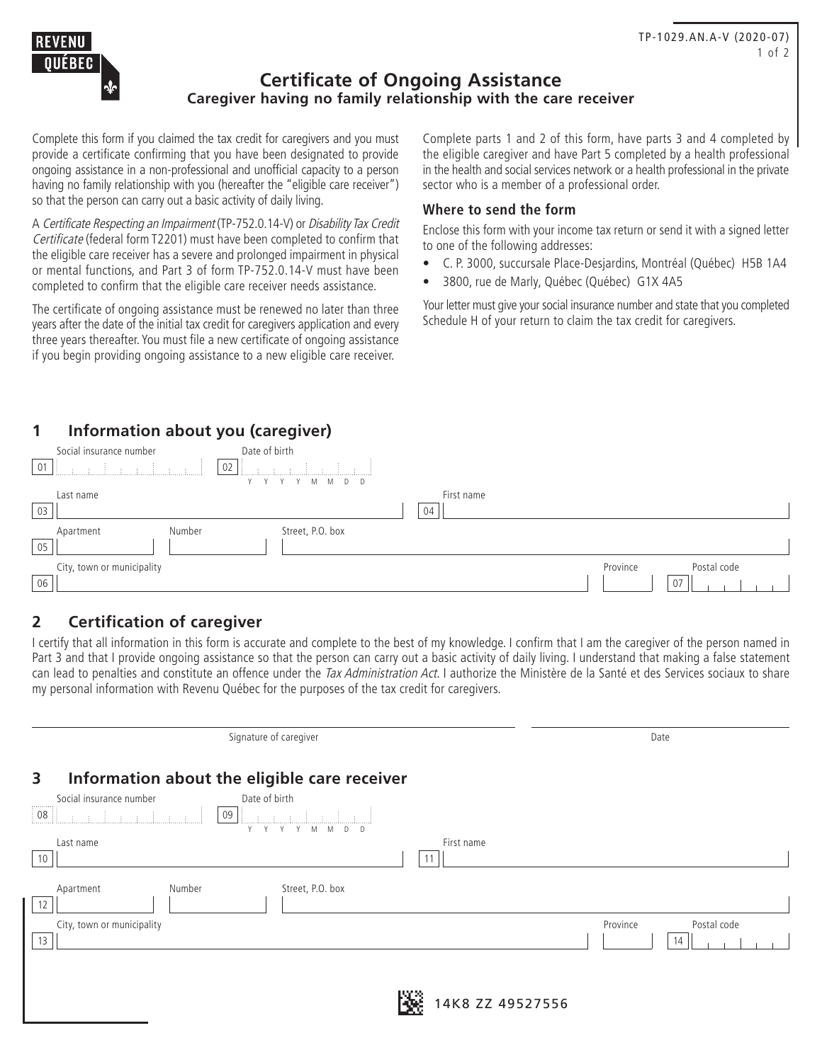

## **Certificate of Ongoing Assistance Caregiver having no family relationship with the care receiver**

Complete this form if you claimed the tax credit for caregivers and you must provide a certificate confirming that you have been designated to provide ongoing assistance in a non-professional and unofficial capacity to a person having no family relationship with you (hereafter the "eligible care receiver") so that the person can carry out a basic activity of daily living.

A Certificate Respecting an Impairment (TP-752.0.14-V) or Disability Tax Credit Certificate (federal form T2201) must have been completed to confirm that the eligible care receiver has a severe and prolonged impairment in physical or mental functions, and Part 3 of form TP-752.0.14-V must have been completed to confirm that the eligible care receiver needs assistance.

The certificate of ongoing assistance must be renewed no later than three years after the date of the initial tax credit for caregivers application and every three years thereafter. You must file a new certificate of ongoing assistance if you begin providing ongoing assistance to a new eligible care receiver.

Complete parts 1 and 2 of this form, have parts 3 and 4 completed by the eligible caregiver and have Part 5 completed by a health professional in the health and social services network or a health professional in the private sector who is a member of a professional order.

### **Where to send the form**

Enclose this form with your income tax return or send it with a signed letter to one of the following addresses:

- C. P. 3000, succursale Place-Desjardins, Montréal (Québec) H5B 1A4
- 3800, rue de Marly, Québec (Québec) G1X 4A5

Your letter must give your social insurance number and state that you completed Schedule H of your return to claim the tax credit for caregivers.

# **1 Information about you (caregiver)**

|    | Social insurance number    | Date of birth    |            |          |             |
|----|----------------------------|------------------|------------|----------|-------------|
| 01 |                            | 02               |            |          |             |
|    |                            | Y Y Y Y M M D D  |            |          |             |
|    | Last name                  |                  | First name |          |             |
| 03 |                            |                  | 04         |          |             |
|    | Number<br>Apartment        | Street, P.O. box |            |          |             |
| 05 |                            |                  |            |          |             |
|    | City, town or municipality |                  |            | Province | Postal code |
| 06 |                            |                  |            |          | 07          |

# **2 Certification of caregiver**

I certify that all information in this form is accurate and complete to the best of my knowledge. I confirm that I am the caregiver of the person named in Part 3 and that I provide ongoing assistance so that the person can carry out a basic activity of daily living. I understand that making a false statement can lead to penalties and constitute an offence under the Tax Administration Act. I authorize the Ministère de la Santé et des Services sociaux to share my personal information with Revenu Québec for the purposes of the tax credit for caregivers.

|                                                   | Signature of caregiver           |                  | Date                    |
|---------------------------------------------------|----------------------------------|------------------|-------------------------|
| Information about the eligible care receiver<br>3 |                                  |                  |                         |
| Social insurance number<br>.                      | Date of birth                    |                  |                         |
| $\frac{1}{2}$ 08<br>09                            | M<br>Y<br>M<br>D<br>$\mathsf{D}$ |                  |                         |
| Last name                                         |                                  | First name       |                         |
| 10                                                |                                  |                  |                         |
| Number<br>Apartment<br>12                         | Street, P.O. box                 |                  |                         |
| City, town or municipality                        |                                  |                  | Postal code<br>Province |
| 13                                                |                                  |                  | 14                      |
|                                                   |                                  |                  |                         |
|                                                   |                                  |                  |                         |
|                                                   |                                  | 14K8 ZZ 49527556 |                         |